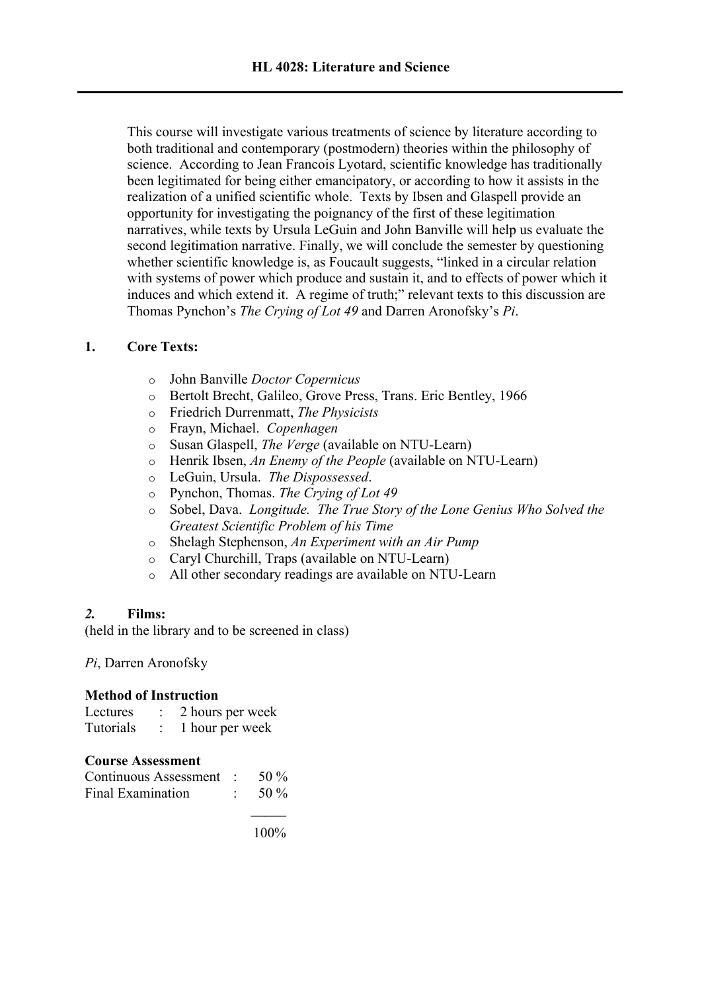This course will investigate various treatments of science by literature according to both traditional and contemporary (postmodern) theories within the philosophy of science. According to Jean Francois Lyotard, scientific knowledge has traditionally been legitimated for being either emancipatory, or according to how it assists in the realization of a unified scientific whole. Texts by Ibsen and Glaspell provide an opportunity for investigating the poignancy of the first of these legitimation narratives, while texts by Ursula LeGuin and John Banville will help us evaluate the second legitimation narrative. Finally, we will conclude the semester by questioning whether scientific knowledge is, as Foucault suggests, "linked in a circular relation with systems of power which produce and sustain it, and to effects of power which it induces and which extend it. A regime of truth;" relevant texts to this discussion are Thomas Pynchon's *The Crying of Lot 49* and Darren Aronofsky's *Pi*.

## **1. Core Texts:**

- o John Banville *Doctor Copernicus*
- o Bertolt Brecht, Galileo, Grove Press, Trans. Eric Bentley, 1966
- o Friedrich Durrenmatt, *The Physicists*
- o Frayn, Michael. *Copenhagen*
- o Susan Glaspell, *The Verge* (available on NTU-Learn)
- o Henrik Ibsen, *An Enemy of the People* (available on NTU-Learn)
- o LeGuin, Ursula. *The Dispossessed*.
- o Pynchon, Thomas. *The Crying of Lot 49*
- o Sobel, Dava. *Longitude. The True Story of the Lone Genius Who Solved the Greatest Scientific Problem of his Time*
- o Shelagh Stephenson, *An Experiment with an Air Pump*
- o Caryl Churchill, Traps (available on NTU-Learn)
- o All other secondary readings are available on NTU-Learn

### *2.* **Films:**

(held in the library and to be screened in class)

# *Pi*, Darren Aronofsky

### **Method of Instruction**

| Lectures  | 2 hours per week |
|-----------|------------------|
| Tutorials | 1 hour per week  |

|  | <b>Course Assessment</b> |
|--|--------------------------|
|--|--------------------------|

| Continuous Assessment : | 50 $\%$ |
|-------------------------|---------|
| Final Examination       | 50 $\%$ |

100%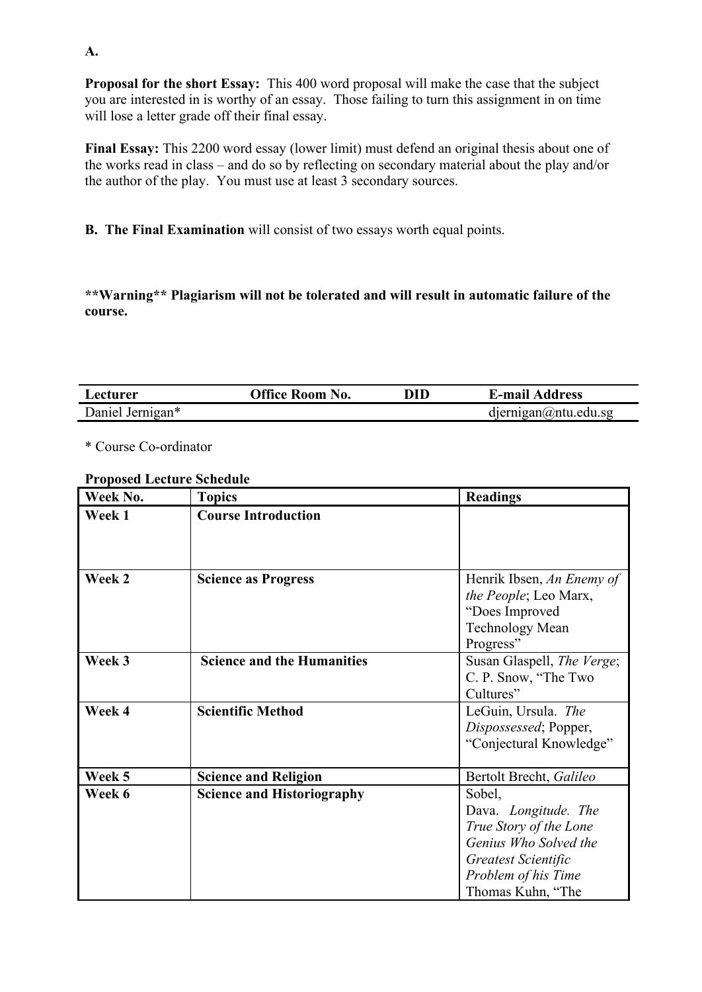**Proposal for the short Essay:** This 400 word proposal will make the case that the subject you are interested in is worthy of an essay. Those failing to turn this assignment in on time will lose a letter grade off their final essay.

**Final Essay:** This 2200 word essay (lower limit) must defend an original thesis about one of the works read in class – and do so by reflecting on secondary material about the play and/or the author of the play. You must use at least 3 secondary sources.

**B. The Final Examination** will consist of two essays worth equal points.

**\*\*Warning\*\* Plagiarism will not be tolerated and will result in automatic failure of the course.**

| Lecturer         | <b>Office Room No.</b> | DID | <b>E-mail Address</b>       |
|------------------|------------------------|-----|-----------------------------|
| Daniel Jernigan* |                        |     | $d$ jernigan $@$ ntu.edu.sg |

\* Course Co-ordinator

#### **Proposed Lecture Schedule**

| Week No. | <b>Topics</b>                     | <b>Readings</b>            |
|----------|-----------------------------------|----------------------------|
| Week 1   | <b>Course Introduction</b>        |                            |
|          |                                   |                            |
|          |                                   |                            |
| Week 2   | <b>Science as Progress</b>        | Henrik Ibsen, An Enemy of  |
|          |                                   | the People; Leo Marx,      |
|          |                                   | "Does Improved             |
|          |                                   | <b>Technology Mean</b>     |
|          |                                   | Progress"                  |
| Week 3   | <b>Science and the Humanities</b> | Susan Glaspell, The Verge; |
|          |                                   | C. P. Snow, "The Two       |
|          |                                   | Cultures"                  |
| Week 4   | <b>Scientific Method</b>          | LeGuin, Ursula. The        |
|          |                                   | Dispossessed; Popper,      |
|          |                                   | "Conjectural Knowledge"    |
|          |                                   |                            |
| Week 5   | <b>Science and Religion</b>       | Bertolt Brecht, Galileo    |
| Week 6   | <b>Science and Historiography</b> | Sobel,                     |
|          |                                   | Dava. Longitude. The       |
|          |                                   | True Story of the Lone     |
|          |                                   | Genius Who Solved the      |
|          |                                   | Greatest Scientific        |
|          |                                   | Problem of his Time        |
|          |                                   | Thomas Kuhn, "The          |

**A.**